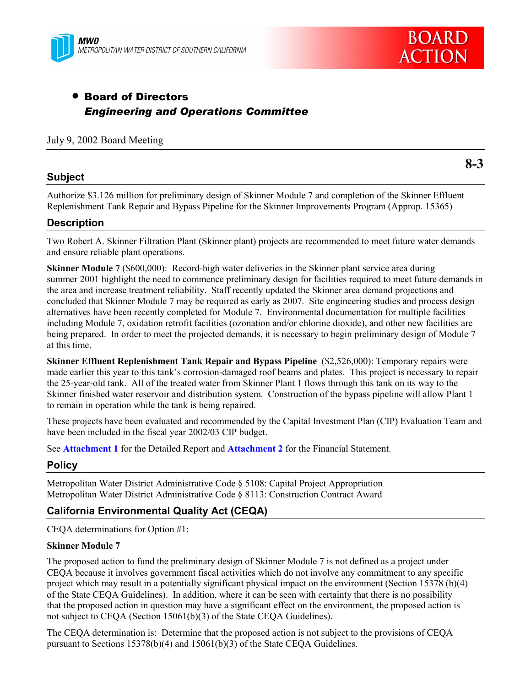



# • Board of Directors *Engineering and Operations Committee*

## July 9, 2002 Board Meeting

### **Subject**

**8-3**

Authorize \$3.126 million for preliminary design of Skinner Module 7 and completion of the Skinner Effluent Replenishment Tank Repair and Bypass Pipeline for the Skinner Improvements Program (Approp. 15365)

### **Description**

Two Robert A. Skinner Filtration Plant (Skinner plant) projects are recommended to meet future water demands and ensure reliable plant operations.

**Skinner Module 7** (\$600,000): Record-high water deliveries in the Skinner plant service area during summer 2001 highlight the need to commence preliminary design for facilities required to meet future demands in the area and increase treatment reliability. Staff recently updated the Skinner area demand projections and concluded that Skinner Module 7 may be required as early as 2007. Site engineering studies and process design alternatives have been recently completed for Module 7. Environmental documentation for multiple facilities including Module 7, oxidation retrofit facilities (ozonation and/or chlorine dioxide), and other new facilities are being prepared. In order to meet the projected demands, it is necessary to begin preliminary design of Module 7 at this time.

**Skinner Effluent Replenishment Tank Repair and Bypass Pipeline** (\$2,526,000): Temporary repairs were made earlier this year to this tank's corrosion-damaged roof beams and plates. This project is necessary to repair the 25-year-old tank. All of the treated water from Skinner Plant 1 flows through this tank on its way to the Skinner finished water reservoir and distribution system. Construction of the bypass pipeline will allow Plant 1 to remain in operation while the tank is being repaired.

These projects have been evaluated and recommended by the Capital Investment Plan (CIP) Evaluation Team and have been included in the fiscal year 2002/03 CIP budget.

See **Attachment 1** for the Detailed Report and **Attachment 2** for the Financial Statement.

### **Policy**

Metropolitan Water District Administrative Code ß 5108: Capital Project Appropriation Metropolitan Water District Administrative Code ß 8113: Construction Contract Award

# **California Environmental Quality Act (CEQA)**

CEQA determinations for Option #1:

#### **Skinner Module 7**

The proposed action to fund the preliminary design of Skinner Module 7 is not defined as a project under CEQA because it involves government fiscal activities which do not involve any commitment to any specific project which may result in a potentially significant physical impact on the environment (Section 15378 (b)(4) of the State CEQA Guidelines). In addition, where it can be seen with certainty that there is no possibility that the proposed action in question may have a significant effect on the environment, the proposed action is not subject to CEQA (Section 15061(b)(3) of the State CEQA Guidelines).

The CEQA determination is: Determine that the proposed action is not subject to the provisions of CEQA pursuant to Sections 15378(b)(4) and 15061(b)(3) of the State CEQA Guidelines.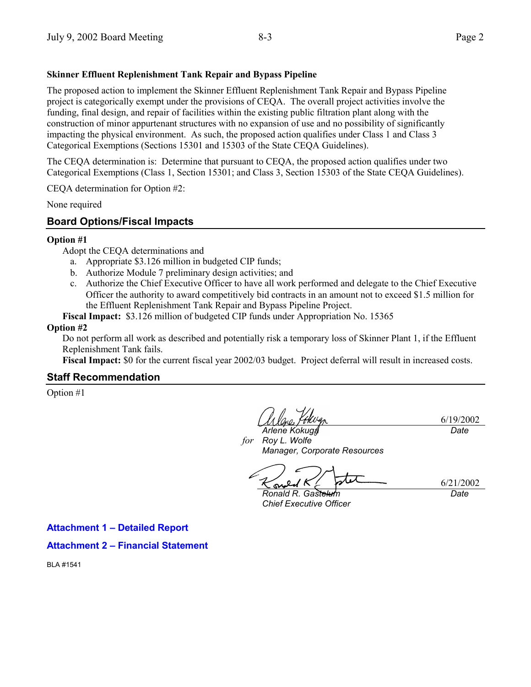## **Skinner Effluent Replenishment Tank Repair and Bypass Pipeline**

The proposed action to implement the Skinner Effluent Replenishment Tank Repair and Bypass Pipeline project is categorically exempt under the provisions of CEQA. The overall project activities involve the funding, final design, and repair of facilities within the existing public filtration plant along with the construction of minor appurtenant structures with no expansion of use and no possibility of significantly impacting the physical environment. As such, the proposed action qualifies under Class 1 and Class 3 Categorical Exemptions (Sections 15301 and 15303 of the State CEQA Guidelines).

The CEQA determination is: Determine that pursuant to CEQA, the proposed action qualifies under two Categorical Exemptions (Class 1, Section 15301; and Class 3, Section 15303 of the State CEQA Guidelines).

CEQA determination for Option #2:

None required

# **Board Options/Fiscal Impacts**

#### **Option #1**

Adopt the CEQA determinations and

- a. Appropriate \$3.126 million in budgeted CIP funds;
- b. Authorize Module 7 preliminary design activities; and
- c. Authorize the Chief Executive Officer to have all work performed and delegate to the Chief Executive Officer the authority to award competitively bid contracts in an amount not to exceed \$1.5 million for the Effluent Replenishment Tank Repair and Bypass Pipeline Project.
- **Fiscal Impact:** \$3.126 million of budgeted CIP funds under Appropriation No. 15365

#### **Option #2**

Do not perform all work as described and potentially risk a temporary loss of Skinner Plant 1, if the Effluent Replenishment Tank fails.

**Fiscal Impact:** \$0 for the current fiscal year 2002/03 budget. Project deferral will result in increased costs.

### **Staff Recommendation**

Option #1

6/19/2002 *Date*

*for Roy L. Wolfe Arlene Kokuga Manager, Corporate Resources*

 $\infty$ 

*Ronald R. Gastelum Chief Executive Officer*

6/21/2002 *Date*

**Attachment 1 - Detailed Report** 

**Attachment 2 - Financial Statement** 

BLA #1541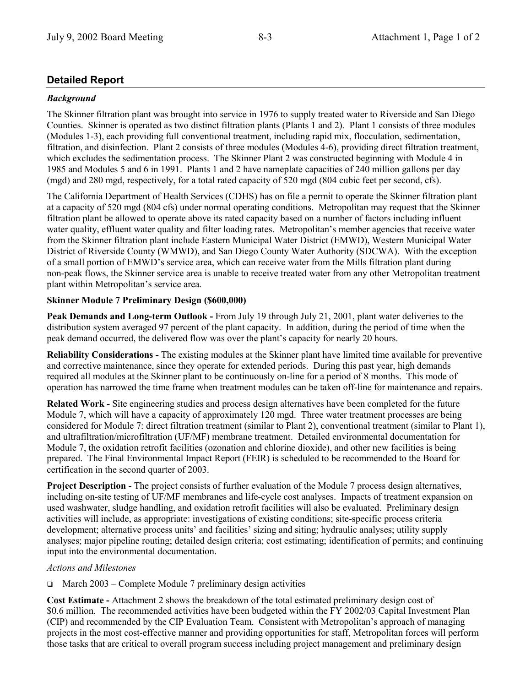# **Detailed Report**

# *Background*

The Skinner filtration plant was brought into service in 1976 to supply treated water to Riverside and San Diego Counties. Skinner is operated as two distinct filtration plants (Plants 1 and 2). Plant 1 consists of three modules (Modules 1-3), each providing full conventional treatment, including rapid mix, flocculation, sedimentation, filtration, and disinfection. Plant 2 consists of three modules (Modules 4-6), providing direct filtration treatment, which excludes the sedimentation process. The Skinner Plant 2 was constructed beginning with Module 4 in 1985 and Modules 5 and 6 in 1991. Plants 1 and 2 have nameplate capacities of 240 million gallons per day (mgd) and 280 mgd, respectively, for a total rated capacity of 520 mgd (804 cubic feet per second, cfs).

The California Department of Health Services (CDHS) has on file a permit to operate the Skinner filtration plant at a capacity of 520 mgd (804 cfs) under normal operating conditions. Metropolitan may request that the Skinner filtration plant be allowed to operate above its rated capacity based on a number of factors including influent water quality, effluent water quality and filter loading rates. Metropolitan's member agencies that receive water from the Skinner filtration plant include Eastern Municipal Water District (EMWD), Western Municipal Water District of Riverside County (WMWD), and San Diego County Water Authority (SDCWA). With the exception of a small portion of EMWDís service area, which can receive water from the Mills filtration plant during non-peak flows, the Skinner service area is unable to receive treated water from any other Metropolitan treatment plant within Metropolitan's service area.

# **Skinner Module 7 Preliminary Design (\$600,000)**

**Peak Demands and Long-term Outlook -** From July 19 through July 21, 2001, plant water deliveries to the distribution system averaged 97 percent of the plant capacity. In addition, during the period of time when the peak demand occurred, the delivered flow was over the plantís capacity for nearly 20 hours.

**Reliability Considerations -** The existing modules at the Skinner plant have limited time available for preventive and corrective maintenance, since they operate for extended periods. During this past year, high demands required all modules at the Skinner plant to be continuously on-line for a period of 8 months. This mode of operation has narrowed the time frame when treatment modules can be taken off-line for maintenance and repairs.

**Related Work -** Site engineering studies and process design alternatives have been completed for the future Module 7, which will have a capacity of approximately 120 mgd. Three water treatment processes are being considered for Module 7: direct filtration treatment (similar to Plant 2), conventional treatment (similar to Plant 1), and ultrafiltration/microfiltration (UF/MF) membrane treatment. Detailed environmental documentation for Module 7, the oxidation retrofit facilities (ozonation and chlorine dioxide), and other new facilities is being prepared. The Final Environmental Impact Report (FEIR) is scheduled to be recommended to the Board for certification in the second quarter of 2003.

**Project Description -** The project consists of further evaluation of the Module 7 process design alternatives, including on-site testing of UF/MF membranes and life-cycle cost analyses. Impacts of treatment expansion on used washwater, sludge handling, and oxidation retrofit facilities will also be evaluated. Preliminary design activities will include, as appropriate: investigations of existing conditions; site-specific process criteria development; alternative process units' and facilities' sizing and siting; hydraulic analyses; utility supply analyses; major pipeline routing; detailed design criteria; cost estimating; identification of permits; and continuing input into the environmental documentation.

# *Actions and Milestones*

 $\Box$  March 2003 – Complete Module 7 preliminary design activities

**Cost Estimate -** Attachment 2 shows the breakdown of the total estimated preliminary design cost of \$0.6 million. The recommended activities have been budgeted within the FY 2002/03 Capital Investment Plan (CIP) and recommended by the CIP Evaluation Team.Consistent with Metropolitanís approach of managing projects in the most cost-effective manner and providing opportunities for staff, Metropolitan forces will perform those tasks that are critical to overall program success including project management and preliminary design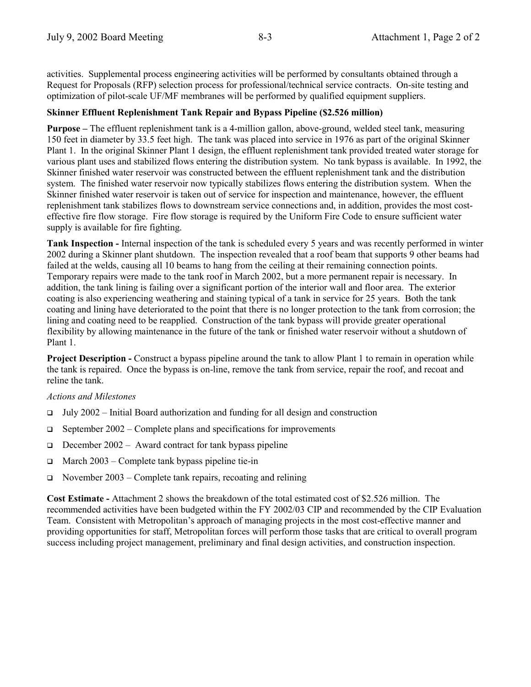activities. Supplemental process engineering activities will be performed by consultants obtained through a Request for Proposals (RFP) selection process for professional/technical service contracts. On-site testing and optimization of pilot-scale UF/MF membranes will be performed by qualified equipment suppliers.

### **Skinner Effluent Replenishment Tank Repair and Bypass Pipeline (\$2.526 million)**

**Purpose** – The effluent replenishment tank is a 4-million gallon, above-ground, welded steel tank, measuring 150 feet in diameter by 33.5 feet high. The tank was placed into service in 1976 as part of the original Skinner Plant 1. In the original Skinner Plant 1 design, the effluent replenishment tank provided treated water storage for various plant uses and stabilized flows entering the distribution system. No tank bypass is available. In 1992, the Skinner finished water reservoir was constructed between the effluent replenishment tank and the distribution system. The finished water reservoir now typically stabilizes flows entering the distribution system. When the Skinner finished water reservoir is taken out of service for inspection and maintenance, however, the effluent replenishment tank stabilizes flows to downstream service connections and, in addition, provides the most costeffective fire flow storage. Fire flow storage is required by the Uniform Fire Code to ensure sufficient water supply is available for fire fighting.

**Tank Inspection -** Internal inspection of the tank is scheduled every 5 years and was recently performed in winter 2002 during a Skinner plant shutdown. The inspection revealed that a roof beam that supports 9 other beams had failed at the welds, causing all 10 beams to hang from the ceiling at their remaining connection points. Temporary repairs were made to the tank roof in March 2002, but a more permanent repair is necessary. In addition, the tank lining is failing over a significant portion of the interior wall and floor area. The exterior coating is also experiencing weathering and staining typical of a tank in service for 25 years. Both the tank coating and lining have deteriorated to the point that there is no longer protection to the tank from corrosion; the lining and coating need to be reapplied. Construction of the tank bypass will provide greater operational flexibility by allowing maintenance in the future of the tank or finished water reservoir without a shutdown of Plant 1.

**Project Description -** Construct a bypass pipeline around the tank to allow Plant 1 to remain in operation while the tank is repaired. Once the bypass is on-line, remove the tank from service, repair the roof, and recoat and reline the tank.

#### *Actions and Milestones*

- $\Box$  July 2002 Initial Board authorization and funding for all design and construction
- $\Box$  September 2002 Complete plans and specifications for improvements
- $\Box$  December 2002 Award contract for tank bypass pipeline
- $\Box$  March 2003 Complete tank bypass pipeline tie-in
- $\Box$  November 2003 Complete tank repairs, recoating and relining

**Cost Estimate -** Attachment 2 shows the breakdown of the total estimated cost of \$2.526 million. The recommended activities have been budgeted within the FY 2002/03 CIP and recommended by the CIP Evaluation Team. Consistent with Metropolitanís approach of managing projects in the most cost-effective manner and providing opportunities for staff, Metropolitan forces will perform those tasks that are critical to overall program success including project management, preliminary and final design activities, and construction inspection.